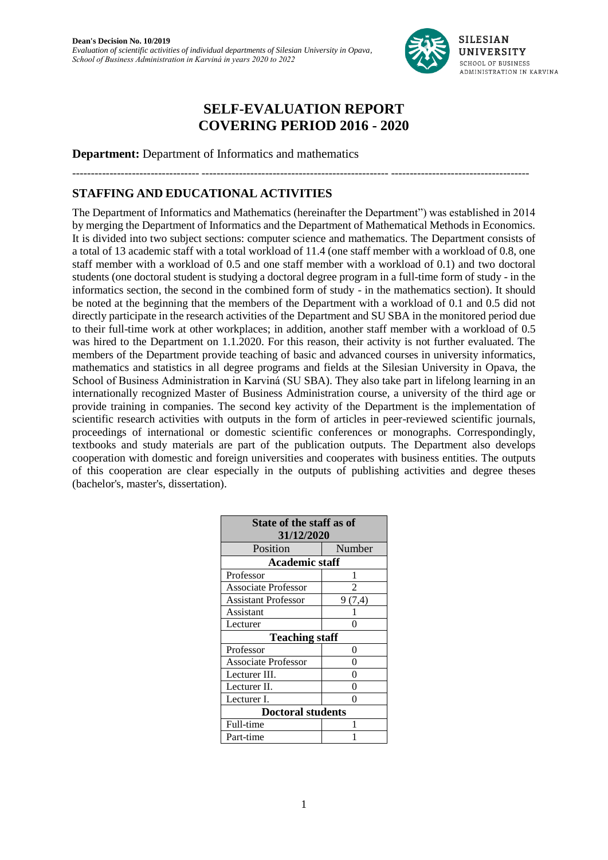

---------------------------------- -------------------------------------------------- -------------------------------------

# **SELF-EVALUATION REPORT COVERING PERIOD 2016 - 2020**

**Department:** Department of Informatics and mathematics

# **STAFFING AND EDUCATIONAL ACTIVITIES**

The Department of Informatics and Mathematics (hereinafter the Department") was established in 2014 by merging the Department of Informatics and the Department of Mathematical Methods in Economics. It is divided into two subject sections: computer science and mathematics. The Department consists of a total of 13 academic staff with a total workload of 11.4 (one staff member with a workload of 0.8, one staff member with a workload of 0.5 and one staff member with a workload of 0.1) and two doctoral students (one doctoral student is studying a doctoral degree program in a full-time form of study - in the informatics section, the second in the combined form of study - in the mathematics section). It should be noted at the beginning that the members of the Department with a workload of 0.1 and 0.5 did not directly participate in the research activities of the Department and SU SBA in the monitored period due to their full-time work at other workplaces; in addition, another staff member with a workload of 0.5 was hired to the Department on 1.1.2020. For this reason, their activity is not further evaluated. The members of the Department provide teaching of basic and advanced courses in university informatics, mathematics and statistics in all degree programs and fields at the Silesian University in Opava, the School of Business Administration in Karviná (SU SBA). They also take part in lifelong learning in an internationally recognized Master of Business Administration course, a university of the third age or provide training in companies. The second key activity of the Department is the implementation of scientific research activities with outputs in the form of articles in peer-reviewed scientific journals, proceedings of international or domestic scientific conferences or monographs. Correspondingly, textbooks and study materials are part of the publication outputs. The Department also develops cooperation with domestic and foreign universities and cooperates with business entities. The outputs of this cooperation are clear especially in the outputs of publishing activities and degree theses (bachelor's, master's, dissertation).

| State of the staff as of   |        |  |  |  |  |  |  |
|----------------------------|--------|--|--|--|--|--|--|
| 31/12/2020                 |        |  |  |  |  |  |  |
| Position                   | Number |  |  |  |  |  |  |
| <b>Academic staff</b>      |        |  |  |  |  |  |  |
| Professor                  | 1      |  |  |  |  |  |  |
| <b>Associate Professor</b> |        |  |  |  |  |  |  |
| Assistant Professor        | 9(7,4) |  |  |  |  |  |  |
| Assistant                  |        |  |  |  |  |  |  |
| Lecturer                   | ∩      |  |  |  |  |  |  |
| <b>Teaching staff</b>      |        |  |  |  |  |  |  |
| Professor                  | 0      |  |  |  |  |  |  |
| <b>Associate Professor</b> | 0      |  |  |  |  |  |  |
| Lecturer III.              | O      |  |  |  |  |  |  |
| Lecturer II.               | O      |  |  |  |  |  |  |
| Lecturer I.                | በ      |  |  |  |  |  |  |
| <b>Doctoral students</b>   |        |  |  |  |  |  |  |
| Full-time                  |        |  |  |  |  |  |  |
| Part-time                  |        |  |  |  |  |  |  |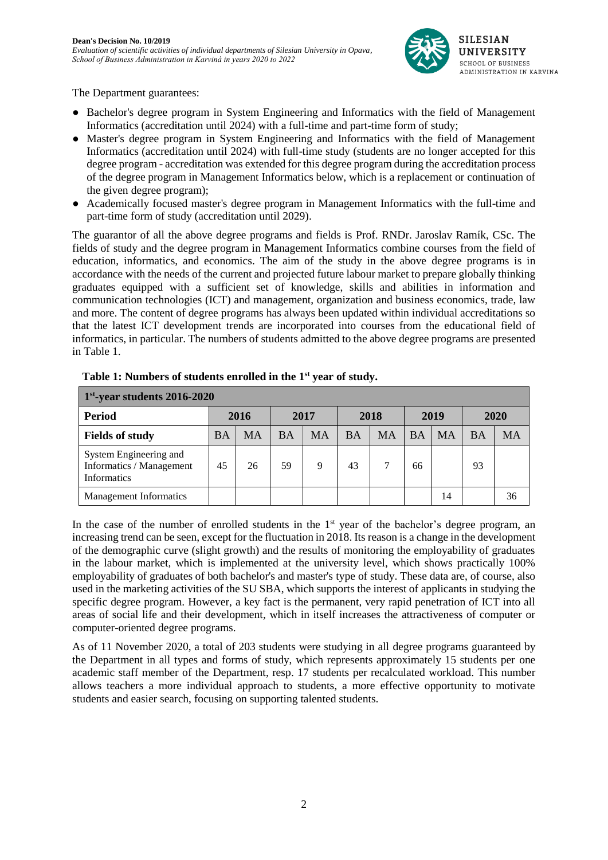

The Department guarantees:

- Bachelor's degree program in System Engineering and Informatics with the field of Management Informatics (accreditation until 2024) with a full-time and part-time form of study;
- Master's degree program in System Engineering and Informatics with the field of Management Informatics (accreditation until 2024) with full-time study (students are no longer accepted for this degree program - accreditation was extended for this degree program during the accreditation process of the degree program in Management Informatics below, which is a replacement or continuation of the given degree program);
- Academically focused master's degree program in Management Informatics with the full-time and part-time form of study (accreditation until 2029).

The guarantor of all the above degree programs and fields is Prof. RNDr. Jaroslav Ramík, CSc. The fields of study and the degree program in Management Informatics combine courses from the field of education, informatics, and economics. The aim of the study in the above degree programs is in accordance with the needs of the current and projected future labour market to prepare globally thinking graduates equipped with a sufficient set of knowledge, skills and abilities in information and communication technologies (ICT) and management, organization and business economics, trade, law and more. The content of degree programs has always been updated within individual accreditations so that the latest ICT development trends are incorporated into courses from the educational field of informatics, in particular. The numbers of students admitted to the above degree programs are presented in Table 1.

| $1st$ -year students 2016-2020                                           |           |           |           |           |           |           |           |           |           |    |
|--------------------------------------------------------------------------|-----------|-----------|-----------|-----------|-----------|-----------|-----------|-----------|-----------|----|
| <b>Period</b>                                                            | 2016      |           | 2017      |           | 2018      |           | 2019      |           | 2020      |    |
| <b>Fields of study</b>                                                   | <b>BA</b> | <b>MA</b> | <b>BA</b> | <b>MA</b> | <b>BA</b> | <b>MA</b> | <b>BA</b> | <b>MA</b> | <b>BA</b> | MА |
| System Engineering and<br>Informatics / Management<br><b>Informatics</b> | 45        | 26        | 59        | 9         | 43        |           | 66        |           | 93        |    |
| <b>Management Informatics</b>                                            |           |           |           |           |           |           |           | 14        |           | 36 |

**Table 1: Numbers of students enrolled in the 1st year of study.**

In the case of the number of enrolled students in the  $1<sup>st</sup>$  year of the bachelor's degree program, an increasing trend can be seen, except for the fluctuation in 2018. Its reason is a change in the development of the demographic curve (slight growth) and the results of monitoring the employability of graduates in the labour market, which is implemented at the university level, which shows practically 100% employability of graduates of both bachelor's and master's type of study. These data are, of course, also used in the marketing activities of the SU SBA, which supports the interest of applicants in studying the specific degree program. However, a key fact is the permanent, very rapid penetration of ICT into all areas of social life and their development, which in itself increases the attractiveness of computer or computer-oriented degree programs.

As of 11 November 2020, a total of 203 students were studying in all degree programs guaranteed by the Department in all types and forms of study, which represents approximately 15 students per one academic staff member of the Department, resp. 17 students per recalculated workload. This number allows teachers a more individual approach to students, a more effective opportunity to motivate students and easier search, focusing on supporting talented students.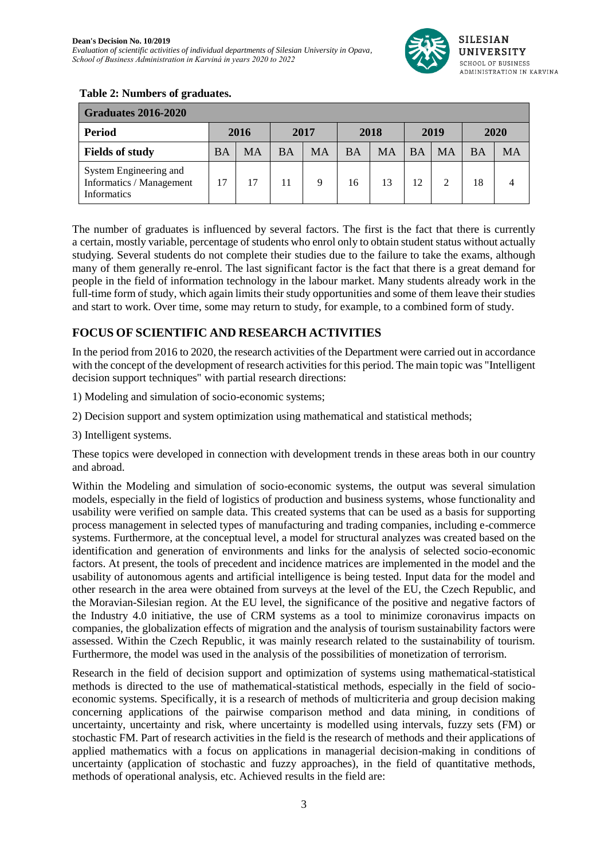

#### **Table 2: Numbers of graduates.**

| <b>Graduates 2016-2020</b>                                               |    |           |           |      |           |           |           |           |           |      |
|--------------------------------------------------------------------------|----|-----------|-----------|------|-----------|-----------|-----------|-----------|-----------|------|
| <b>Period</b>                                                            |    | 2016      |           | 2017 |           | 2018      |           | 2019      |           | 2020 |
| <b>Fields of study</b>                                                   | ΒA | <b>MA</b> | <b>BA</b> | MA   | <b>BA</b> | <b>MA</b> | <b>BA</b> | <b>MA</b> | <b>BA</b> | MA   |
| System Engineering and<br>Informatics / Management<br><b>Informatics</b> | 17 | 17        | 11        | 9    | 16        | 13        | 12        |           | 18        |      |

The number of graduates is influenced by several factors. The first is the fact that there is currently a certain, mostly variable, percentage of students who enrol only to obtain student status without actually studying. Several students do not complete their studies due to the failure to take the exams, although many of them generally re-enrol. The last significant factor is the fact that there is a great demand for people in the field of information technology in the labour market. Many students already work in the full-time form of study, which again limits their study opportunities and some of them leave their studies and start to work. Over time, some may return to study, for example, to a combined form of study.

## **FOCUS OF SCIENTIFIC AND RESEARCH ACTIVITIES**

In the period from 2016 to 2020, the research activities of the Department were carried out in accordance with the concept of the development of research activities for this period. The main topic was "Intelligent decision support techniques" with partial research directions:

1) Modeling and simulation of socio-economic systems;

2) Decision support and system optimization using mathematical and statistical methods;

3) Intelligent systems.

These topics were developed in connection with development trends in these areas both in our country and abroad.

Within the Modeling and simulation of socio-economic systems, the output was several simulation models, especially in the field of logistics of production and business systems, whose functionality and usability were verified on sample data. This created systems that can be used as a basis for supporting process management in selected types of manufacturing and trading companies, including e-commerce systems. Furthermore, at the conceptual level, a model for structural analyzes was created based on the identification and generation of environments and links for the analysis of selected socio-economic factors. At present, the tools of precedent and incidence matrices are implemented in the model and the usability of autonomous agents and artificial intelligence is being tested. Input data for the model and other research in the area were obtained from surveys at the level of the EU, the Czech Republic, and the Moravian-Silesian region. At the EU level, the significance of the positive and negative factors of the Industry 4.0 initiative, the use of CRM systems as a tool to minimize coronavirus impacts on companies, the globalization effects of migration and the analysis of tourism sustainability factors were assessed. Within the Czech Republic, it was mainly research related to the sustainability of tourism. Furthermore, the model was used in the analysis of the possibilities of monetization of terrorism.

Research in the field of decision support and optimization of systems using mathematical-statistical methods is directed to the use of mathematical-statistical methods, especially in the field of socioeconomic systems. Specifically, it is a research of methods of multicriteria and group decision making concerning applications of the pairwise comparison method and data mining, in conditions of uncertainty, uncertainty and risk, where uncertainty is modelled using intervals, fuzzy sets (FM) or stochastic FM. Part of research activities in the field is the research of methods and their applications of applied mathematics with a focus on applications in managerial decision-making in conditions of uncertainty (application of stochastic and fuzzy approaches), in the field of quantitative methods, methods of operational analysis, etc. Achieved results in the field are: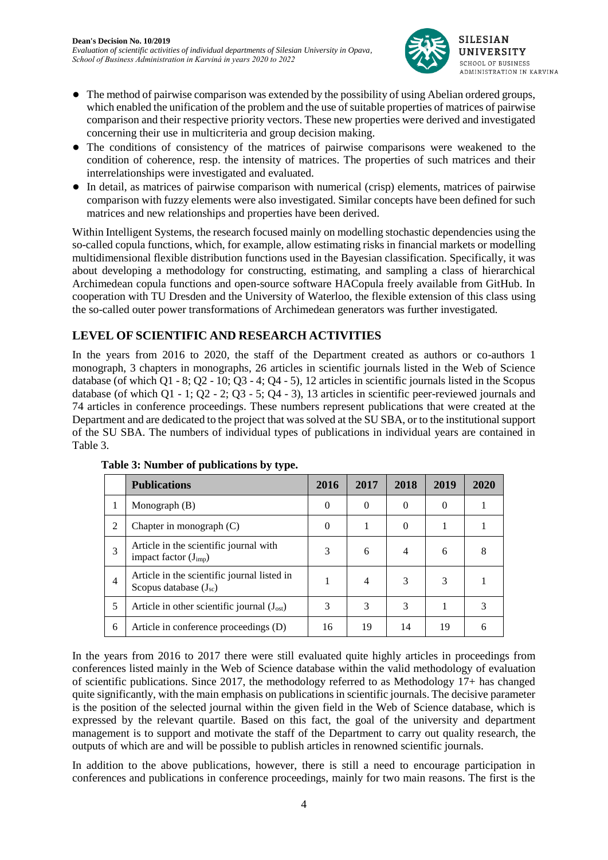

- The method of pairwise comparison was extended by the possibility of using Abelian ordered groups, which enabled the unification of the problem and the use of suitable properties of matrices of pairwise comparison and their respective priority vectors. These new properties were derived and investigated concerning their use in multicriteria and group decision making.
- The conditions of consistency of the matrices of pairwise comparisons were weakened to the condition of coherence, resp. the intensity of matrices. The properties of such matrices and their interrelationships were investigated and evaluated.
- In detail, as matrices of pairwise comparison with numerical (crisp) elements, matrices of pairwise comparison with fuzzy elements were also investigated. Similar concepts have been defined for such matrices and new relationships and properties have been derived.

Within Intelligent Systems, the research focused mainly on modelling stochastic dependencies using the so-called copula functions, which, for example, allow estimating risks in financial markets or modelling multidimensional flexible distribution functions used in the Bayesian classification. Specifically, it was about developing a methodology for constructing, estimating, and sampling a class of hierarchical Archimedean copula functions and open-source software HACopula freely available from GitHub. In cooperation with TU Dresden and the University of Waterloo, the flexible extension of this class using the so-called outer power transformations of Archimedean generators was further investigated.

## **LEVEL OF SCIENTIFIC AND RESEARCH ACTIVITIES**

In the years from 2016 to 2020, the staff of the Department created as authors or co-authors 1 monograph, 3 chapters in monographs, 26 articles in scientific journals listed in the Web of Science database (of which  $Q1 - 8$ ;  $Q2 - 10$ ;  $Q3 - 4$ ;  $Q4 - 5$ ), 12 articles in scientific journals listed in the Scopus database (of which Q1 - 1; Q2 - 2; Q3 - 5; Q4 - 3), 13 articles in scientific peer-reviewed journals and 74 articles in conference proceedings. These numbers represent publications that were created at the Department and are dedicated to the project that was solved at the SU SBA, or to the institutional support of the SU SBA. The numbers of individual types of publications in individual years are contained in Table 3.

|                | <b>Publications</b>                                                       | 2016     | 2017     | 2018     | 2019     | 2020 |
|----------------|---------------------------------------------------------------------------|----------|----------|----------|----------|------|
|                | Monograph (B)                                                             | $\theta$ | $\Omega$ | $\theta$ | $\Omega$ |      |
| $\overline{c}$ | Chapter in monograph $(C)$                                                | $\Omega$ |          | 0        |          |      |
| 3              | Article in the scientific journal with<br>impact factor $(J_{imp})$       |          | 6        | 4        | 6        | 8    |
| 4              | Article in the scientific journal listed in<br>Scopus database $(J_{sc})$ |          | 4        | 3        | 3        |      |
| 5              | Article in other scientific journal $(J_{\text{ost}})$                    | 3        | 3        | 3        |          |      |
| 6              | Article in conference proceedings (D)                                     | 16       | 19       | 14       | 19       | h    |

**Table 3: Number of publications by type.**

In the years from 2016 to 2017 there were still evaluated quite highly articles in proceedings from conferences listed mainly in the Web of Science database within the valid methodology of evaluation of scientific publications. Since 2017, the methodology referred to as Methodology 17+ has changed quite significantly, with the main emphasis on publications in scientific journals. The decisive parameter is the position of the selected journal within the given field in the Web of Science database, which is expressed by the relevant quartile. Based on this fact, the goal of the university and department management is to support and motivate the staff of the Department to carry out quality research, the outputs of which are and will be possible to publish articles in renowned scientific journals.

In addition to the above publications, however, there is still a need to encourage participation in conferences and publications in conference proceedings, mainly for two main reasons. The first is the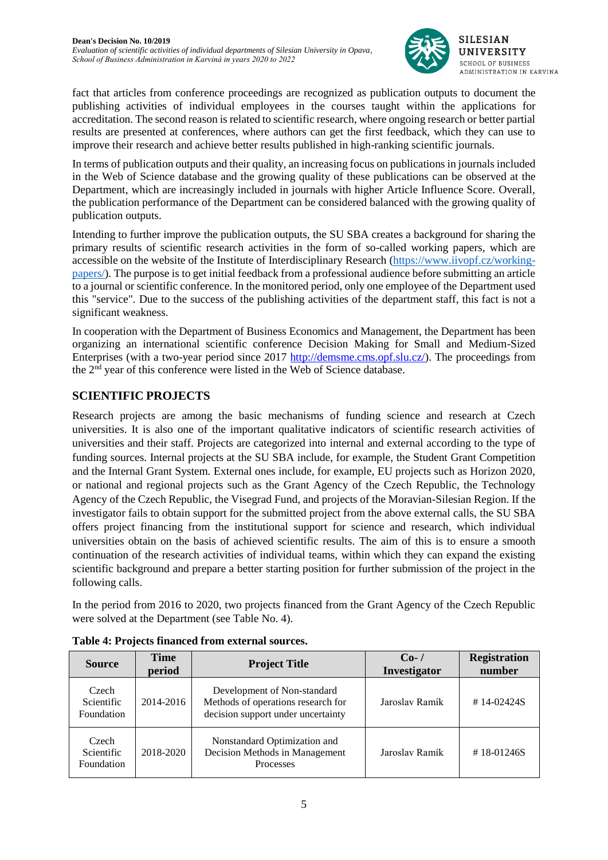

fact that articles from conference proceedings are recognized as publication outputs to document the publishing activities of individual employees in the courses taught within the applications for accreditation. The second reason is related to scientific research, where ongoing research or better partial results are presented at conferences, where authors can get the first feedback, which they can use to improve their research and achieve better results published in high-ranking scientific journals.

In terms of publication outputs and their quality, an increasing focus on publications in journals included in the Web of Science database and the growing quality of these publications can be observed at the Department, which are increasingly included in journals with higher Article Influence Score. Overall, the publication performance of the Department can be considered balanced with the growing quality of publication outputs.

Intending to further improve the publication outputs, the SU SBA creates a background for sharing the primary results of scientific research activities in the form of so-called working papers, which are accessible on the website of the Institute of Interdisciplinary Research [\(https://www.iivopf.cz/working](https://www.iivopf.cz/working-papers/)[papers/\)](https://www.iivopf.cz/working-papers/). The purpose is to get initial feedback from a professional audience before submitting an article to a journal or scientific conference. In the monitored period, only one employee of the Department used this "service". Due to the success of the publishing activities of the department staff, this fact is not a significant weakness.

In cooperation with the Department of Business Economics and Management, the Department has been organizing an international scientific conference Decision Making for Small and Medium-Sized Enterprises (with a two-year period since 2017 [http://demsme.cms.opf.slu.cz/\)](http://demsme.cms.opf.slu.cz/). The proceedings from the 2nd year of this conference were listed in the Web of Science database.

## **SCIENTIFIC PROJECTS**

Research projects are among the basic mechanisms of funding science and research at Czech universities. It is also one of the important qualitative indicators of scientific research activities of universities and their staff. Projects are categorized into internal and external according to the type of funding sources. Internal projects at the SU SBA include, for example, the Student Grant Competition and the Internal Grant System. External ones include, for example, EU projects such as Horizon 2020, or national and regional projects such as the Grant Agency of the Czech Republic, the Technology Agency of the Czech Republic, the Visegrad Fund, and projects of the Moravian-Silesian Region. If the investigator fails to obtain support for the submitted project from the above external calls, the SU SBA offers project financing from the institutional support for science and research, which individual universities obtain on the basis of achieved scientific results. The aim of this is to ensure a smooth continuation of the research activities of individual teams, within which they can expand the existing scientific background and prepare a better starting position for further submission of the project in the following calls.

In the period from 2016 to 2020, two projects financed from the Grant Agency of the Czech Republic were solved at the Department (see Table No. 4).

| <b>Source</b>                     | <b>Time</b><br>period | <b>Project Title</b>                                                                                    | $Co-1$<br><b>Investigator</b> | <b>Registration</b><br>number |
|-----------------------------------|-----------------------|---------------------------------------------------------------------------------------------------------|-------------------------------|-------------------------------|
| Czech<br>Scientific<br>Foundation | 2014-2016             | Development of Non-standard<br>Methods of operations research for<br>decision support under uncertainty | Jaroslav Ramík                | $\#$ 14-02424S                |
| Czech<br>Scientific<br>Foundation | 2018-2020             | Nonstandard Optimization and<br>Decision Methods in Management<br>Processes                             | Jaroslav Ramík                | $#18-01246S$                  |

**Table 4: Projects financed from external sources.**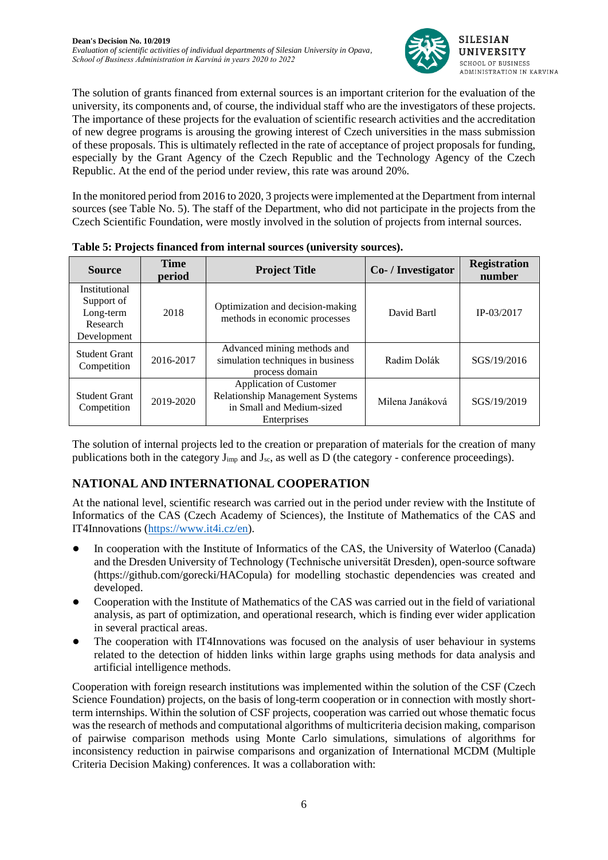

The solution of grants financed from external sources is an important criterion for the evaluation of the university, its components and, of course, the individual staff who are the investigators of these projects. The importance of these projects for the evaluation of scientific research activities and the accreditation of new degree programs is arousing the growing interest of Czech universities in the mass submission of these proposals. This is ultimately reflected in the rate of acceptance of project proposals for funding, especially by the Grant Agency of the Czech Republic and the Technology Agency of the Czech Republic. At the end of the period under review, this rate was around 20%.

In the monitored period from 2016 to 2020, 3 projects were implemented at the Department from internal sources (see Table No. 5). The staff of the Department, who did not participate in the projects from the Czech Scientific Foundation, were mostly involved in the solution of projects from internal sources.

| <b>Source</b>                                                              | <b>Time</b><br>period | <b>Project Title</b>                                                                                                 | Co- / Investigator | <b>Registration</b><br>number |
|----------------------------------------------------------------------------|-----------------------|----------------------------------------------------------------------------------------------------------------------|--------------------|-------------------------------|
| <b>Institutional</b><br>Support of<br>Long-term<br>Research<br>Development | 2018                  | Optimization and decision-making<br>methods in economic processes                                                    | David Bartl        | $IP-03/2017$                  |
| <b>Student Grant</b><br>Competition                                        | 2016-2017             | Advanced mining methods and<br>simulation techniques in business<br>process domain                                   | Radim Dolák        | SGS/19/2016                   |
| <b>Student Grant</b><br>2019-2020<br>Competition                           |                       | <b>Application of Customer</b><br><b>Relationship Management Systems</b><br>in Small and Medium-sized<br>Enterprises | Milena Janáková    | SGS/19/2019                   |

**Table 5: Projects financed from internal sources (university sources).**

The solution of internal projects led to the creation or preparation of materials for the creation of many publications both in the category  $J_{\text{imp}}$  and  $J_{\text{sc}}$ , as well as  $\overline{D}$  (the category - conference proceedings).

# **NATIONAL AND INTERNATIONAL COOPERATION**

At the national level, scientific research was carried out in the period under review with the Institute of Informatics of the CAS (Czech Academy of Sciences), the Institute of Mathematics of the CAS and IT4Innovations [\(https://www.it4i.cz/en\)](https://www.it4i.cz/en).

- In cooperation with the Institute of Informatics of the CAS, the University of Waterloo (Canada) and the Dresden University of Technology (Technische universität Dresden), open-source software (https://github.com/gorecki/HACopula) for modelling stochastic dependencies was created and developed.
- Cooperation with the Institute of Mathematics of the CAS was carried out in the field of variational analysis, as part of optimization, and operational research, which is finding ever wider application in several practical areas.
- The cooperation with IT4Innovations was focused on the analysis of user behaviour in systems related to the detection of hidden links within large graphs using methods for data analysis and artificial intelligence methods.

Cooperation with foreign research institutions was implemented within the solution of the CSF (Czech Science Foundation) projects, on the basis of long-term cooperation or in connection with mostly shortterm internships. Within the solution of CSF projects, cooperation was carried out whose thematic focus was the research of methods and computational algorithms of multicriteria decision making, comparison of pairwise comparison methods using Monte Carlo simulations, simulations of algorithms for inconsistency reduction in pairwise comparisons and organization of International MCDM (Multiple Criteria Decision Making) conferences. It was a collaboration with: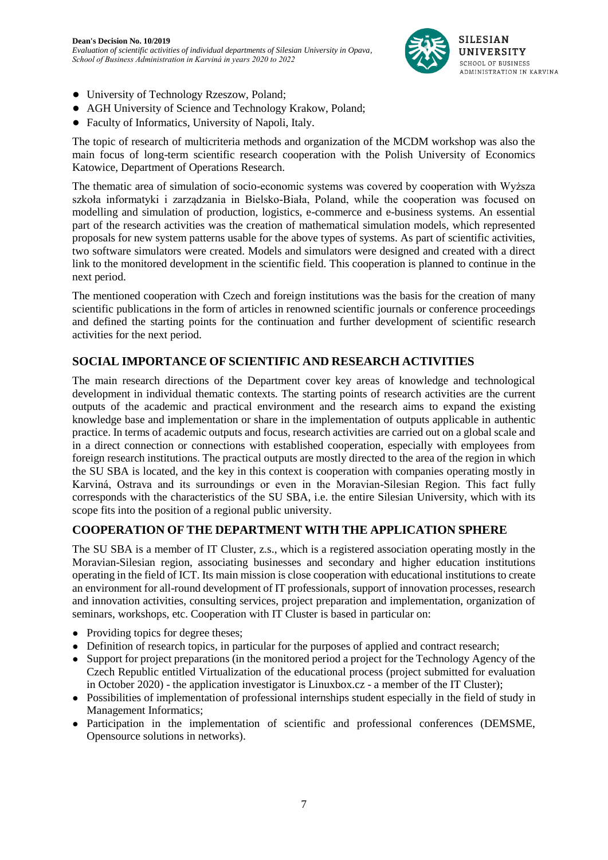

- University of Technology Rzeszow, Poland;
- AGH University of Science and Technology Krakow, Poland;
- Faculty of Informatics, University of Napoli, Italy.

The topic of research of multicriteria methods and organization of the MCDM workshop was also the main focus of long-term scientific research cooperation with the Polish University of Economics Katowice, Department of Operations Research.

The thematic area of simulation of socio-economic systems was covered by cooperation with Wyższa szkoła informatyki i zarządzania in Bielsko-Biała, Poland, while the cooperation was focused on modelling and simulation of production, logistics, e-commerce and e-business systems. An essential part of the research activities was the creation of mathematical simulation models, which represented proposals for new system patterns usable for the above types of systems. As part of scientific activities, two software simulators were created. Models and simulators were designed and created with a direct link to the monitored development in the scientific field. This cooperation is planned to continue in the next period.

The mentioned cooperation with Czech and foreign institutions was the basis for the creation of many scientific publications in the form of articles in renowned scientific journals or conference proceedings and defined the starting points for the continuation and further development of scientific research activities for the next period.

#### **SOCIAL IMPORTANCE OF SCIENTIFIC AND RESEARCH ACTIVITIES**

The main research directions of the Department cover key areas of knowledge and technological development in individual thematic contexts. The starting points of research activities are the current outputs of the academic and practical environment and the research aims to expand the existing knowledge base and implementation or share in the implementation of outputs applicable in authentic practice. In terms of academic outputs and focus, research activities are carried out on a global scale and in a direct connection or connections with established cooperation, especially with employees from foreign research institutions. The practical outputs are mostly directed to the area of the region in which the SU SBA is located, and the key in this context is cooperation with companies operating mostly in Karviná, Ostrava and its surroundings or even in the Moravian-Silesian Region. This fact fully corresponds with the characteristics of the SU SBA, i.e. the entire Silesian University, which with its scope fits into the position of a regional public university.

### **COOPERATION OF THE DEPARTMENT WITH THE APPLICATION SPHERE**

The SU SBA is a member of IT Cluster, z.s., which is a registered association operating mostly in the Moravian-Silesian region, associating businesses and secondary and higher education institutions operating in the field of ICT. Its main mission is close cooperation with educational institutions to create an environment for all-round development of IT professionals, support of innovation processes, research and innovation activities, consulting services, project preparation and implementation, organization of seminars, workshops, etc. Cooperation with IT Cluster is based in particular on:

- Providing topics for degree theses:
- Definition of research topics, in particular for the purposes of applied and contract research;
- Support for project preparations (in the monitored period a project for the Technology Agency of the Czech Republic entitled Virtualization of the educational process (project submitted for evaluation in October 2020) - the application investigator is Linuxbox.cz - a member of the IT Cluster);
- Possibilities of implementation of professional internships student especially in the field of study in Management Informatics;
- Participation in the implementation of scientific and professional conferences (DEMSME, Opensource solutions in networks).